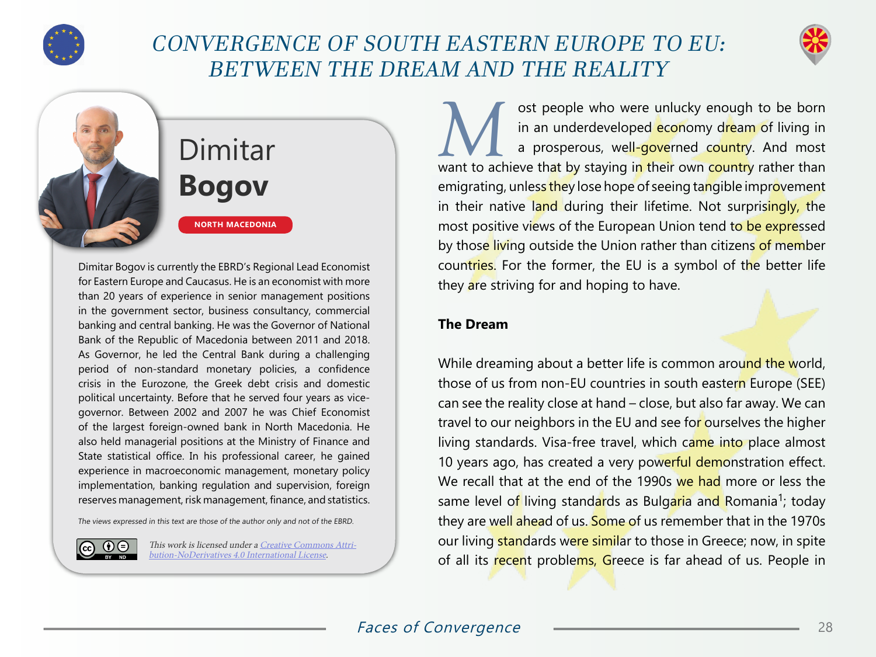

## CONVERGENCE OF SOUTH EASTERN EUROPE TO EU: BETWEEN THE DREAM AND THE REALITY



# Dimitar **Bogov**

**NORTH MACEDONIA**

Dimitar Bogov is currently the EBRD's Regional Lead Economist for Eastern Europe and Caucasus. He is an economist with more than 20 years of experience in senior management positions in the government sector, business consultancy, commercial banking and central banking. He was the Governor of National Bank of the Republic of Macedonia between 2011 and 2018. As Governor, he led the Central Bank during a challenging period of non-standard monetary policies, a confidence crisis in the Eurozone, the Greek debt crisis and domestic political uncertainty. Before that he served four years as vicegovernor. Between 2002 and 2007 he was Chief Economist of the largest foreign-owned bank in North Macedonia. He also held managerial positions at the Ministry of Finance and State statistical office. In his professional career, he gained experience in macroeconomic management, monetary policy implementation, banking regulation and supervision, foreign reserves management, risk management, finance, and statistics.

The views expressed in this text are those of the author only and not of the EBRD.



This work is licensed under a [Creative Commons Attri](https://creativecommons.org/licenses/by-nd/4.0/)[bution-NoDerivatives 4.0 International License](https://creativecommons.org/licenses/by-nd/4.0/).

**Must people who were unlucky enough to be born**<br>
in an underdeveloped **economy dream of living in**<br>
a prosperous, well-governed country. And most in an underdeveloped economy dream of living in want to achieve that by staying in their own country rather than emigrating, unless they lose hope of seeing tangible improvement in their native land during their lifetime. Not surprisingly, the most positive views of the European Union tend to be expressed by those living outside the Union rather than citizens of member countries. For the former, the EU is a symbol of the better life they are striving for and hoping to have.

#### **The Dream**

While dreaming about a better life is common around the world, those of us from non-EU countries in south eastern Europe (SEE) can see the reality close at hand – close, but also far away. We can travel to our neighbors in the EU and see for ourselves the higher living standards. Visa-free travel, which came into place almost 10 years ago, has created a very powerful demonstration effect. We recall that at the end of the 1990s we had more or less the same level of living standards as Bulgaria and Romania<sup>1</sup>; today they are well ahead of us. Some of us remember that in the 1970s our living standards were similar to those in Greece; now, in spite of all its recent problems, Greece is far ahead of us. People in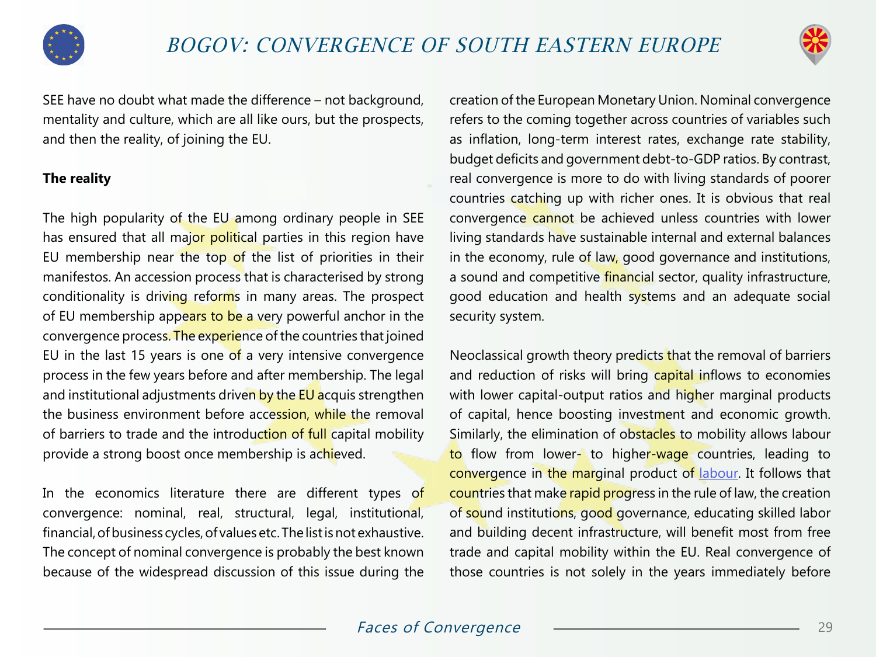



SEE have no doubt what made the difference – not background, mentality and culture, which are all like ours, but the prospects, and then the reality, of joining the EU.

#### **The reality**

The high popularity of the EU among ordinary people in SEE has ensured that all major political parties in this region have EU membership near the top of the list of priorities in their manifestos. An accession process that is characterised by strong conditionality is driving reforms in many areas. The prospect of EU membership appears to be a very powerful anchor in the convergence process. The experience of the countries that joined EU in the last 15 years is one of a very intensive convergence process in the few years before and after membership. The legal and institutional adjustments driven by the EU acquis strengthen the business environment before accession, while the removal of barriers to trade and the introduction of full capital mobility provide a strong boost once membership is achieved.

In the economics literature there are different types of convergence: nominal, real, structural, legal, institutional, financial, of business cycles, of values etc. The list is not exhaustive. The concept of nominal convergence is probably the best known because of the widespread discussion of this issue during the

creation of the European Monetary Union. Nominal convergence refers to the coming together across countries of variables such as inflation, long-term interest rates, exchange rate stability, budget deficits and government debt-to-GDP ratios. By contrast, real convergence is more to do with living standards of poorer countries catching up with richer ones. It is obvious that real convergence cannot be achieved unless countries with lower living standards have sustainable internal and external balances in the economy, rule of law, good governance and institutions, a sound and competitive financial sector, quality infrastructure, good education and health systems and an adequate social security system.

Neoclassical growth theory predicts that the removal of barriers and reduction of risks will bring capital inflows to economies with lower capital-output ratios and higher marginal products of capital, hence boosting investment and economic growth. Similarly, the elimination of obstacles to mobility allows labour to flow from lower- to higher-wage countries, leading to convergence in the marginal product of [labour](https://www.imf.org/en/Publications/WP/Issues/2018/01/23/Economic-Convergence-in-the-Euro-Area-Coming-Together-or-Drifting-Apart-45575). It follows that countries that make rapid progress in the rule of law, the creation of sound institutions, good governance, educating skilled labor and building decent infrastructure, will benefit most from free trade and capital mobility within the EU. Real convergence of those countries is not solely in the years immediately before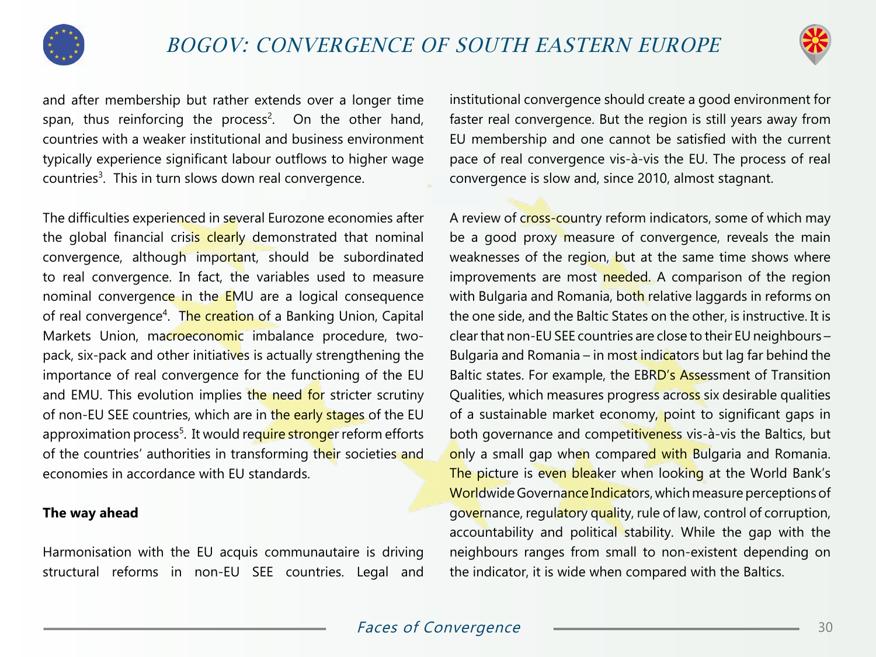



and after membership but rather extends over a longer time span, thus reinforcing the process<sup>2</sup>. On the other hand, countries with a weaker institutional and business environment typically experience significant labour outflows to higher wage countries<sup>3</sup>. This in turn slows down real convergence.

The difficulties experienced in several Eurozone economies after the global financial crisis clearly demonstrated that nominal convergence, although important, should be subordinated to real convergence. In fact, the variables used to measure nominal convergence in the EMU are a logical consequence of real convergence<sup>4</sup>. The creation of a Banking Union, Capital Markets Union, macroeconomic imbalance procedure, twopack, six-pack and other initiatives is actually strengthening the importance of real convergence for the functioning of the EU and EMU. This evolution implies the need for stricter scrutiny of non-EU SEE countries, which are in the early stages of the EU approximation process<sup>5</sup>. It would require stronger reform efforts of the countries' authorities in transforming their societies and economies in accordance with EU standards.

#### **The way ahead**

Harmonisation with the EU acquis communautaire is driving structural reforms in non-EU SEE countries. Legal and institutional convergence should create a good environment for faster real convergence. But the region is still years away from EU membership and one cannot be satisfied with the current pace of real convergence vis-à-vis the EU. The process of real convergence is slow and, since 2010, almost stagnant.

A review of cross-country reform indicators, some of which may be a good proxy measure of convergence, reveals the main weaknesses of the region, but at the same time shows where improvements are most needed. A comparison of the region with Bulgaria and Romania, both relative laggards in reforms on the one side, and the Baltic States on the other, is instructive. It is clear that non-EU SEE countries are close to their EU neighbours – Bulgaria and Romania – in most indicators but lag far behind the Baltic states. For example, the EBRD's Assessment of Transition Qualities, which measures progress across six desirable qualities of a sustainable market economy, point to significant gaps in both governance and competitiveness vis-à-vis the Baltics, but only a small gap when compared with Bulgaria and Romania. The picture is even bleaker when looking at the World Bank's Worldwide Governance Indicators, which measure perceptions of governance, regulatory quality, rule of law, control of corruption, accountability and political stability. While the gap with the neighbours ranges from small to non-existent depending on the indicator, it is wide when compared with the Baltics.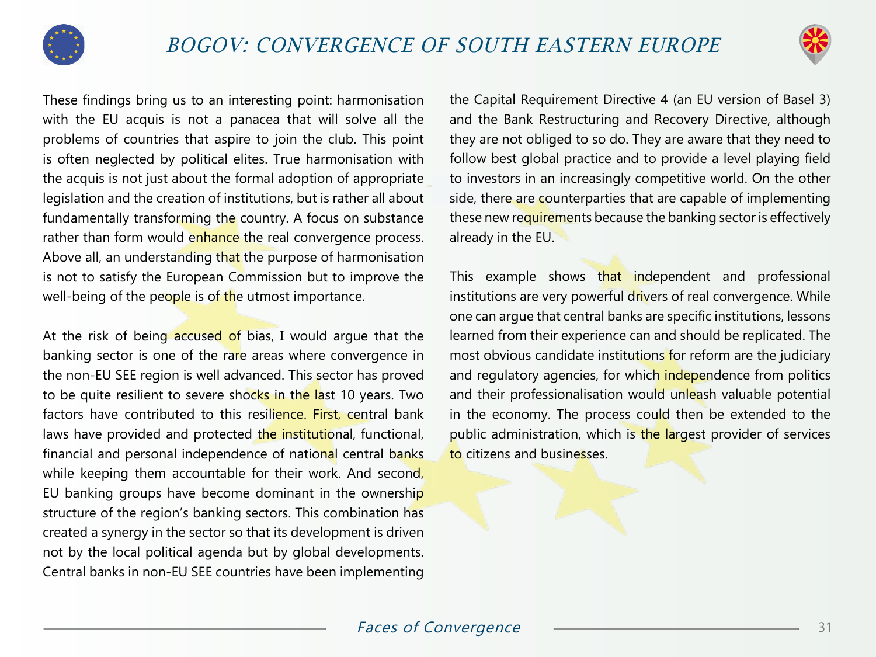



These findings bring us to an interesting point: harmonisation with the EU acquis is not a panacea that will solve all the problems of countries that aspire to join the club. This point is often neglected by political elites. True harmonisation with the acquis is not just about the formal adoption of appropriate legislation and the creation of institutions, but is rather all about fundamentally transforming the country. A focus on substance rather than form would enhance the real convergence process. Above all, an understanding that the purpose of harmonisation is not to satisfy the European Commission but to improve the well-being of the people is of the utmost importance.

At the risk of being accused of bias, I would argue that the banking sector is one of the rare areas where convergence in the non-EU SEE region is well advanced. This sector has proved to be quite resilient to severe shocks in the last 10 years. Two factors have contributed to this resilience. First, central bank laws have provided and protected the institutional, functional, financial and personal independence of national central banks while keeping them accountable for their work. And second, EU banking groups have become dominant in the ownership structure of the region's banking sectors. This combination has created a synergy in the sector so that its development is driven not by the local political agenda but by global developments. Central banks in non-EU SEE countries have been implementing

the Capital Requirement Directive 4 (an EU version of Basel 3) and the Bank Restructuring and Recovery Directive, although they are not obliged to so do. They are aware that they need to follow best global practice and to provide a level playing field to investors in an increasingly competitive world. On the other side, there are counterparties that are capable of implementing these new requirements because the banking sector is effectively already in the EU.

This example shows that independent and professional institutions are very powerful drivers of real convergence. While one can argue that central banks are specific institutions, lessons learned from their experience can and should be replicated. The most obvious candidate institutions for reform are the judiciary and regulatory agencies, for which independence from politics and their professionalisation would unleash valuable potential in the economy. The process could then be extended to the public administration, which is the largest provider of services to citizens and businesses.